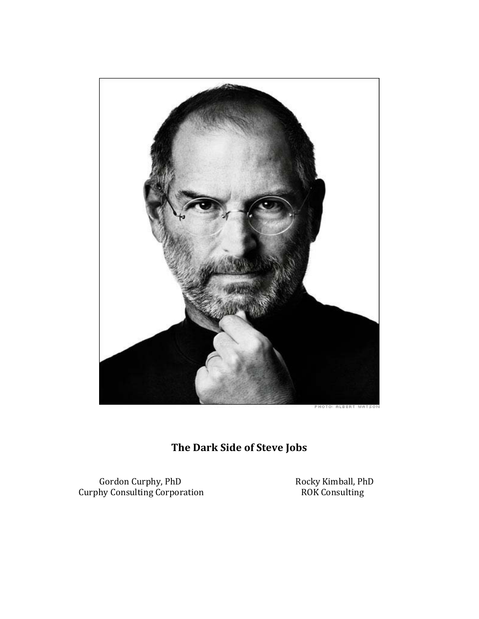

# **The Dark Side of Steve Jobs**

Gordon Curphy, PhD Rocky Kimball, PhD Curphy Consulting Corporation ROK Consulting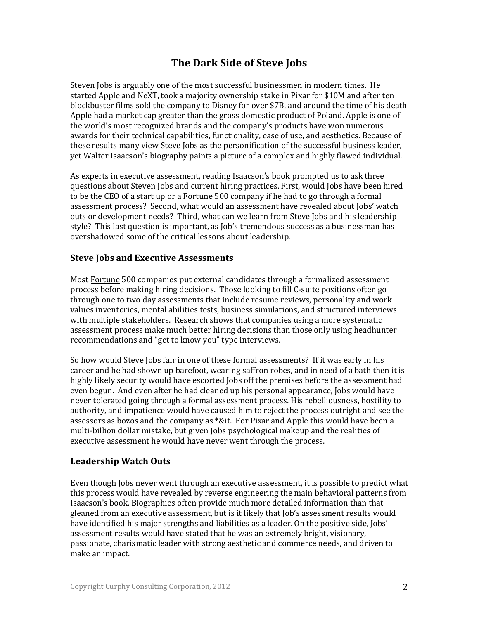## **The Dark Side of Steve Jobs**

Steven Jobs is arguably one of the most successful businessmen in modern times. He started Apple and NeXT, took a majority ownership stake in Pixar for \$10M and after ten blockbuster films sold the company to Disney for over \$7B, and around the time of his death Apple had a market cap greater than the gross domestic product of Poland. Apple is one of the world's most recognized brands and the company's products have won numerous awards for their technical capabilities, functionality, ease of use, and aesthetics. Because of these results many view Steve Jobs as the personification of the successful business leader, yet Walter Isaacson's biography paints a picture of a complex and highly flawed individual.

As experts in executive assessment, reading Isaacson's book prompted us to ask three questions about Steven Jobs and current hiring practices. First, would Jobs have been hired to be the CEO of a start up or a Fortune 500 company if he had to go through a formal assessment process? Second, what would an assessment have revealed about Jobs' watch outs or development needs? Third, what can we learn from Steve Jobs and his leadership style? This last question is important, as Job's tremendous success as a businessman has overshadowed some of the critical lessons about leadership.

#### **Steve Jobs and Executive Assessments**

Most Fortune 500 companies put external candidates through a formalized assessment process before making hiring decisions. Those looking to fill C-suite positions often go through one to two day assessments that include resume reviews, personality and work values inventories, mental abilities tests, business simulations, and structured interviews with multiple stakeholders. Research shows that companies using a more systematic assessment process make much better hiring decisions than those only using headhunter recommendations and "get to know you" type interviews.

So how would Steve Jobs fair in one of these formal assessments? If it was early in his career and he had shown up barefoot, wearing saffron robes, and in need of a bath then it is highly likely security would have escorted Jobs off the premises before the assessment had even begun. And even after he had cleaned up his personal appearance, Jobs would have never tolerated going through a formal assessment process. His rebelliousness, hostility to authority, and impatience would have caused him to reject the process outright and see the assessors as bozos and the company as \*&it. For Pixar and Apple this would have been a multi-billion dollar mistake, but given Jobs psychological makeup and the realities of executive assessment he would have never went through the process.

#### **Leadership Watch Outs**

Even though Jobs never went through an executive assessment, it is possible to predict what this process would have revealed by reverse engineering the main behavioral patterns from Isaacson's book. Biographies often provide much more detailed information than that gleaned from an executive assessment, but is it likely that Job's assessment results would have identified his major strengths and liabilities as a leader. On the positive side, Jobs' assessment results would have stated that he was an extremely bright, visionary, passionate, charismatic leader with strong aesthetic and commerce needs, and driven to make an impact.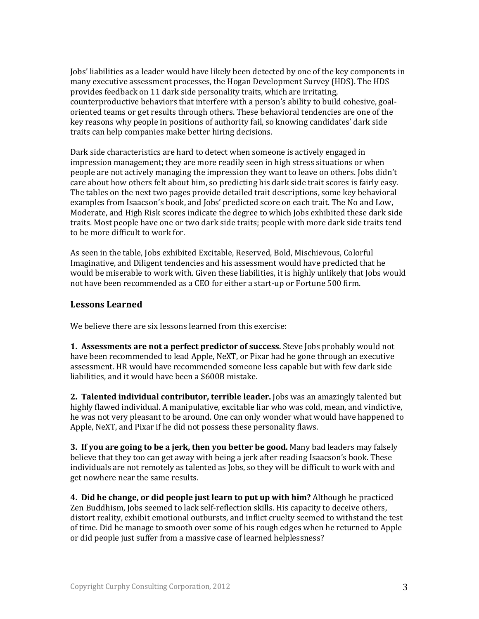Jobs' liabilities as a leader would have likely been detected by one of the key components in many executive assessment processes, the Hogan Development Survey (HDS). The HDS provides feedback on 11 dark side personality traits, which are irritating, counterproductive behaviors that interfere with a person's ability to build cohesive, goaloriented teams or get results through others. These behavioral tendencies are one of the key reasons why people in positions of authority fail, so knowing candidates' dark side traits can help companies make better hiring decisions.

Dark side characteristics are hard to detect when someone is actively engaged in impression management; they are more readily seen in high stress situations or when people are not actively managing the impression they want to leave on others. Jobs didn't care about how others felt about him, so predicting his dark side trait scores is fairly easy. The tables on the next two pages provide detailed trait descriptions, some key behavioral examples from Isaacson's book, and Jobs' predicted score on each trait. The No and Low, Moderate, and High Risk scores indicate the degree to which Jobs exhibited these dark side traits. Most people have one or two dark side traits; people with more dark side traits tend to be more difficult to work for.

As seen in the table, Jobs exhibited Excitable, Reserved, Bold, Mischievous, Colorful Imaginative, and Diligent tendencies and his assessment would have predicted that he would be miserable to work with. Given these liabilities, it is highly unlikely that Jobs would not have been recommended as a CEO for either a start-up or Fortune 500 firm.

#### **Lessons Learned**

We believe there are six lessons learned from this exercise:

**1. Assessments are not a perfect predictor of success.** Steve Jobs probably would not have been recommended to lead Apple, NeXT, or Pixar had he gone through an executive assessment. HR would have recommended someone less capable but with few dark side liabilities, and it would have been a \$600B mistake.

**2. Talented individual contributor, terrible leader.** Jobs was an amazingly talented but highly flawed individual. A manipulative, excitable liar who was cold, mean, and vindictive, he was not very pleasant to be around. One can only wonder what would have happened to Apple, NeXT, and Pixar if he did not possess these personality flaws.

**3. If you are going to be a jerk, then you better be good.** Many bad leaders may falsely believe that they too can get away with being a jerk after reading Isaacson's book. These individuals are not remotely as talented as Jobs, so they will be difficult to work with and get nowhere near the same results.

**4. Did he change, or did people just learn to put up with him?** Although he practiced Zen Buddhism, Jobs seemed to lack self-reflection skills. His capacity to deceive others, distort reality, exhibit emotional outbursts, and inflict cruelty seemed to withstand the test of time. Did he manage to smooth over some of his rough edges when he returned to Apple or did people just suffer from a massive case of learned helplessness?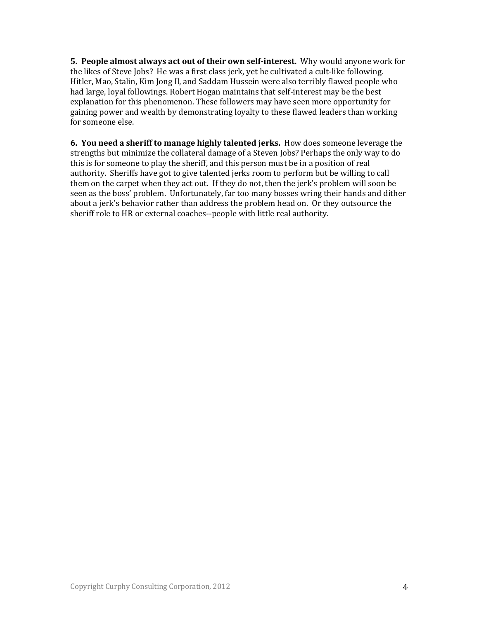**5. People almost always act out of their own self-interest.** Why would anyone work for the likes of Steve Jobs? He was a first class jerk, yet he cultivated a cult-like following. Hitler, Mao, Stalin, Kim Jong Il, and Saddam Hussein were also terribly flawed people who had large, loyal followings. Robert Hogan maintains that self-interest may be the best explanation for this phenomenon. These followers may have seen more opportunity for gaining power and wealth by demonstrating loyalty to these flawed leaders than working for someone else.

**6. You need a sheriff to manage highly talented jerks.** How does someone leverage the strengths but minimize the collateral damage of a Steven Jobs? Perhaps the only way to do this is for someone to play the sheriff, and this person must be in a position of real authority. Sheriffs have got to give talented jerks room to perform but be willing to call them on the carpet when they act out. If they do not, then the jerk's problem will soon be seen as the boss' problem. Unfortunately, far too many bosses wring their hands and dither about a jerk's behavior rather than address the problem head on. Or they outsource the sheriff role to HR or external coaches--people with little real authority.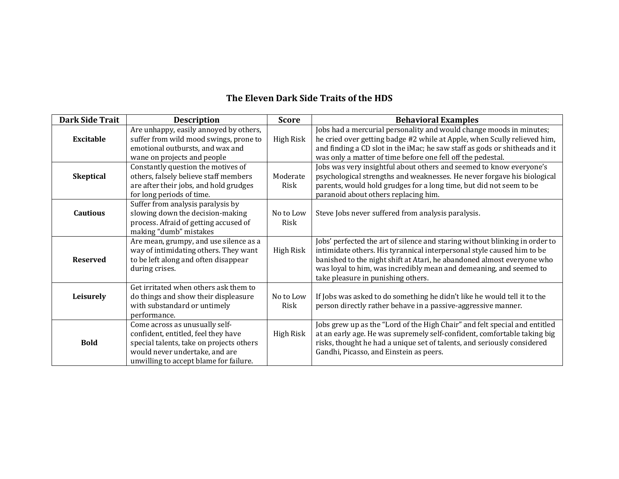### **The Eleven Dark Side Traits of the HDS**

| <b>Dark Side Trait</b> | <b>Description</b>                                                                                                                                                                            | <b>Score</b>      | <b>Behavioral Examples</b>                                                                                                                                                                                                                                                                                                                  |
|------------------------|-----------------------------------------------------------------------------------------------------------------------------------------------------------------------------------------------|-------------------|---------------------------------------------------------------------------------------------------------------------------------------------------------------------------------------------------------------------------------------------------------------------------------------------------------------------------------------------|
| <b>Excitable</b>       | Are unhappy, easily annoyed by others,<br>suffer from wild mood swings, prone to<br>emotional outbursts, and wax and<br>wane on projects and people                                           | High Risk         | Jobs had a mercurial personality and would change moods in minutes;<br>he cried over getting badge #2 while at Apple, when Scully relieved him,<br>and finding a CD slot in the iMac; he saw staff as gods or shitheads and it<br>was only a matter of time before one fell off the pedestal.                                               |
| <b>Skeptical</b>       | Constantly question the motives of<br>others, falsely believe staff members<br>are after their jobs, and hold grudges<br>for long periods of time.                                            | Moderate<br>Risk  | Jobs was very insightful about others and seemed to know everyone's<br>psychological strengths and weaknesses. He never forgave his biological<br>parents, would hold grudges for a long time, but did not seem to be<br>paranoid about others replacing him.                                                                               |
| <b>Cautious</b>        | Suffer from analysis paralysis by<br>slowing down the decision-making<br>process. Afraid of getting accused of<br>making "dumb" mistakes                                                      | No to Low<br>Risk | Steve Jobs never suffered from analysis paralysis.                                                                                                                                                                                                                                                                                          |
| <b>Reserved</b>        | Are mean, grumpy, and use silence as a<br>way of intimidating others. They want<br>to be left along and often disappear<br>during crises.                                                     | High Risk         | Jobs' perfected the art of silence and staring without blinking in order to<br>intimidate others. His tyrannical interpersonal style caused him to be<br>banished to the night shift at Atari, he abandoned almost everyone who<br>was loyal to him, was incredibly mean and demeaning, and seemed to<br>take pleasure in punishing others. |
| Leisurely              | Get irritated when others ask them to<br>do things and show their displeasure<br>with substandard or untimely<br>performance.                                                                 | No to Low<br>Risk | If Jobs was asked to do something he didn't like he would tell it to the<br>person directly rather behave in a passive-aggressive manner.                                                                                                                                                                                                   |
| <b>Bold</b>            | Come across as unusually self-<br>confident, entitled, feel they have<br>special talents, take on projects others<br>would never undertake, and are<br>unwilling to accept blame for failure. | High Risk         | Jobs grew up as the "Lord of the High Chair" and felt special and entitled<br>at an early age. He was supremely self-confident, comfortable taking big<br>risks, thought he had a unique set of talents, and seriously considered<br>Gandhi, Picasso, and Einstein as peers.                                                                |